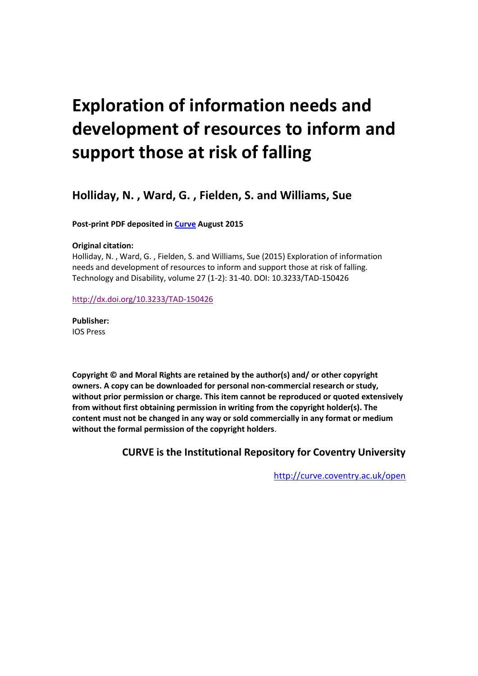# **Exploration of information needs and development of resources to inform and support those at risk of falling**

# **Holliday, N. , Ward, G. , Fielden, S. and Williams, Sue**

**Post-print PDF deposited i[n Curve](http://curve.coventry.ac.uk/open) August 2015**

# **Original citation:**

Holliday, N. , Ward, G. , Fielden, S. and Williams, Sue (2015) Exploration of information needs and development of resources to inform and support those at risk of falling. Technology and Disability, volume 27 (1-2): 31-40. DOI: 10.3233/TAD-150426

# <http://dx.doi.org/10.3233/TAD-150426>

**Publisher:** IOS Press

**Copyright © and Moral Rights are retained by the author(s) and/ or other copyright owners. A copy can be downloaded for personal non-commercial research or study, without prior permission or charge. This item cannot be reproduced or quoted extensively from without first obtaining permission in writing from the copyright holder(s). The content must not be changed in any way or sold commercially in any format or medium without the formal permission of the copyright holders**.

**CURVE is the Institutional Repository for Coventry University**

<http://curve.coventry.ac.uk/open>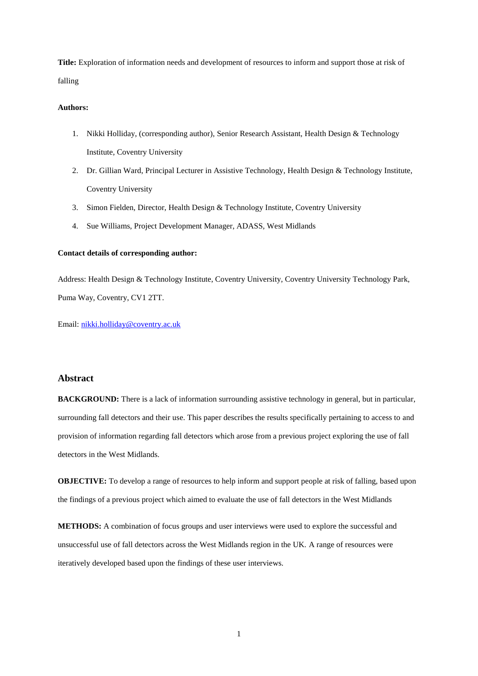**Title:** Exploration of information needs and development of resources to inform and support those at risk of falling

#### **Authors:**

- 1. Nikki Holliday, (corresponding author), Senior Research Assistant, Health Design & Technology Institute, Coventry University
- 2. Dr. Gillian Ward, Principal Lecturer in Assistive Technology, Health Design & Technology Institute, Coventry University
- 3. Simon Fielden, Director, Health Design & Technology Institute, Coventry University
- 4. Sue Williams, Project Development Manager, ADASS, West Midlands

#### **Contact details of corresponding author:**

Address: Health Design & Technology Institute, Coventry University, Coventry University Technology Park, Puma Way, Coventry, CV1 2TT.

Email: [nikki.holliday@coventry.](mailto:nikki.holliday@coventry)ac.uk

#### **Abstract**

**BACKGROUND:** There is a lack of information surrounding assistive technology in general, but in particular, surrounding fall detectors and their use. This paper describes the results specifically pertaining to access to and provision of information regarding fall detectors which arose from a previous project exploring the use of fall detectors in the West Midlands.

**OBJECTIVE:** To develop a range of resources to help inform and support people at risk of falling, based upon the findings of a previous project which aimed to evaluate the use of fall detectors in the West Midlands

**METHODS:** A combination of focus groups and user interviews were used to explore the successful and unsuccessful use of fall detectors across the West Midlands region in the UK. A range of resources were iteratively developed based upon the findings of these user interviews.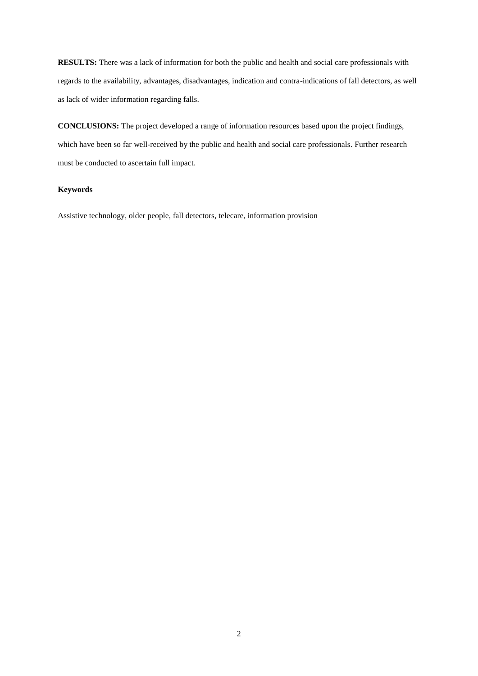**RESULTS:** There was a lack of information for both the public and health and social care professionals with regards to the availability, advantages, disadvantages, indication and contra-indications of fall detectors, as well as lack of wider information regarding falls.

**CONCLUSIONS:** The project developed a range of information resources based upon the project findings, which have been so far well-received by the public and health and social care professionals. Further research must be conducted to ascertain full impact.

# **Keywords**

Assistive technology, older people, fall detectors, telecare, information provision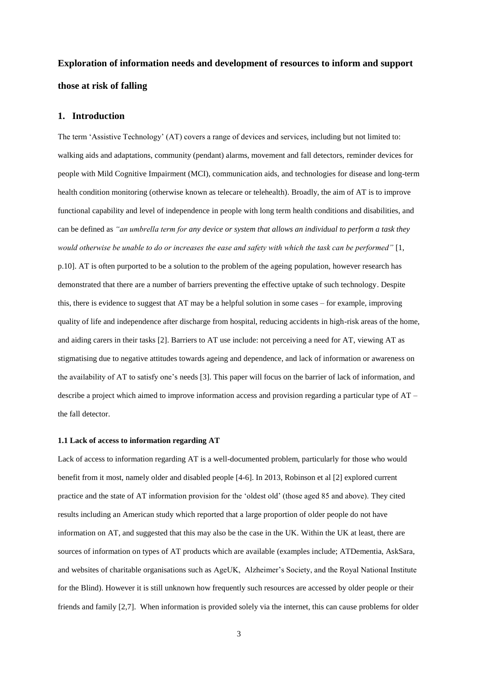# **Exploration of information needs and development of resources to inform and support those at risk of falling**

# **1. Introduction**

The term 'Assistive Technology' (AT) covers a range of devices and services, including but not limited to: walking aids and adaptations, community (pendant) alarms, movement and fall detectors, reminder devices for people with Mild Cognitive Impairment (MCI), communication aids, and technologies for disease and long-term health condition monitoring (otherwise known as telecare or telehealth). Broadly, the aim of AT is to improve functional capability and level of independence in people with long term health conditions and disabilities, and can be defined as *"an umbrella term for any device or system that allows an individual to perform a task they would otherwise be unable to do or increases the ease and safety with which the task can be performed"* [1, p.10]. AT is often purported to be a solution to the problem of the ageing population, however research has demonstrated that there are a number of barriers preventing the effective uptake of such technology. Despite this, there is evidence to suggest that AT may be a helpful solution in some cases – for example, improving quality of life and independence after discharge from hospital, reducing accidents in high-risk areas of the home, and aiding carers in their tasks [2]. Barriers to AT use include: not perceiving a need for AT, viewing AT as stigmatising due to negative attitudes towards ageing and dependence, and lack of information or awareness on the availability of AT to satisfy one's needs [3]. This paper will focus on the barrier of lack of information, and describe a project which aimed to improve information access and provision regarding a particular type of AT – the fall detector.

#### **1.1 Lack of access to information regarding AT**

Lack of access to information regarding AT is a well-documented problem, particularly for those who would benefit from it most, namely older and disabled people [4-6]. In 2013, Robinson et al [2] explored current practice and the state of AT information provision for the 'oldest old' (those aged 85 and above). They cited results including an American study which reported that a large proportion of older people do not have information on AT, and suggested that this may also be the case in the UK. Within the UK at least, there are sources of information on types of AT products which are available (examples include; ATDementia, AskSara, and websites of charitable organisations such as AgeUK, Alzheimer's Society, and the Royal National Institute for the Blind). However it is still unknown how frequently such resources are accessed by older people or their friends and family [2,7]. When information is provided solely via the internet, this can cause problems for older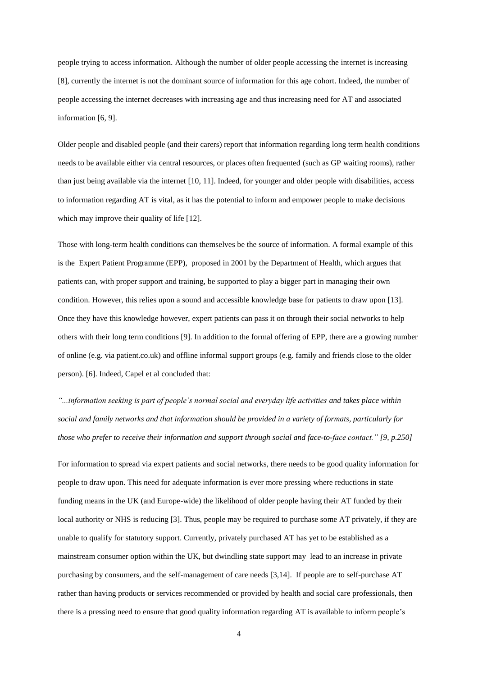people trying to access information. Although the number of older people accessing the internet is increasing [8], currently the internet is not the dominant source of information for this age cohort. Indeed, the number of people accessing the internet decreases with increasing age and thus increasing need for AT and associated information [6, 9].

Older people and disabled people (and their carers) report that information regarding long term health conditions needs to be available either via central resources, or places often frequented (such as GP waiting rooms), rather than just being available via the internet [10, 11]. Indeed, for younger and older people with disabilities, access to information regarding AT is vital, as it has the potential to inform and empower people to make decisions which may improve their quality of life [12].

Those with long-term health conditions can themselves be the source of information. A formal example of this is the Expert Patient Programme (EPP), proposed in 2001 by the Department of Health, which argues that patients can, with proper support and training, be supported to play a bigger part in managing their own condition. However, this relies upon a sound and accessible knowledge base for patients to draw upon [13]. Once they have this knowledge however, expert patients can pass it on through their social networks to help others with their long term conditions [9]. In addition to the formal offering of EPP, there are a growing number of online (e.g. via patient.co.uk) and offline informal support groups (e.g. family and friends close to the older person). [6]. Indeed, Capel et al concluded that:

*"...information seeking is part of people's normal social and everyday life activities and takes place within social and family networks and that information should be provided in a variety of formats, particularly for those who prefer to receive their information and support through social and face-to-face contact." [9, p.250]*

For information to spread via expert patients and social networks, there needs to be good quality information for people to draw upon. This need for adequate information is ever more pressing where reductions in state funding means in the UK (and Europe-wide) the likelihood of older people having their AT funded by their local authority or NHS is reducing [3]. Thus, people may be required to purchase some AT privately, if they are unable to qualify for statutory support. Currently, privately purchased AT has yet to be established as a mainstream consumer option within the UK, but dwindling state support may lead to an increase in private purchasing by consumers, and the self-management of care needs [3,14]. If people are to self-purchase AT rather than having products or services recommended or provided by health and social care professionals, then there is a pressing need to ensure that good quality information regarding AT is available to inform people's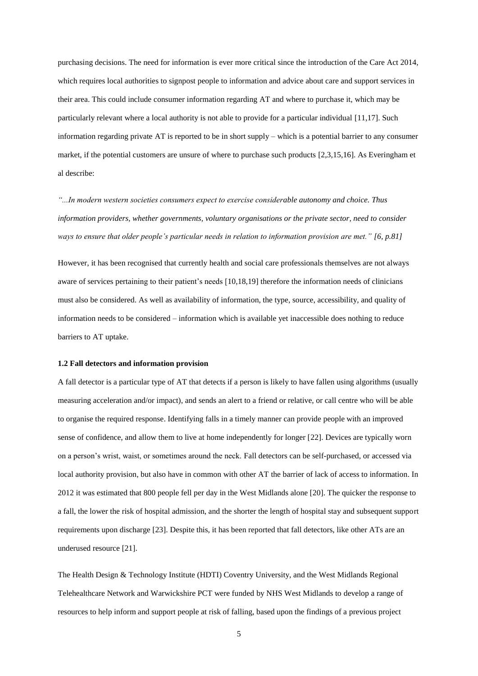purchasing decisions. The need for information is ever more critical since the introduction of the Care Act 2014, which requires local authorities to signpost people to information and advice about care and support services in their area. This could include consumer information regarding AT and where to purchase it, which may be particularly relevant where a local authority is not able to provide for a particular individual [11,17]. Such information regarding private AT is reported to be in short supply – which is a potential barrier to any consumer market, if the potential customers are unsure of where to purchase such products [2,3,15,16]. As Everingham et al describe:

*"...In modern western societies consumers expect to exercise considerable autonomy and choice. Thus information providers, whether governments, voluntary organisations or the private sector, need to consider ways to ensure that older people's particular needs in relation to information provision are met." [6, p.81]*

However, it has been recognised that currently health and social care professionals themselves are not always aware of services pertaining to their patient's needs [10,18,19] therefore the information needs of clinicians must also be considered. As well as availability of information, the type, source, accessibility, and quality of information needs to be considered – information which is available yet inaccessible does nothing to reduce barriers to AT uptake.

#### **1.2 Fall detectors and information provision**

A fall detector is a particular type of AT that detects if a person is likely to have fallen using algorithms (usually measuring acceleration and/or impact), and sends an alert to a friend or relative, or call centre who will be able to organise the required response. Identifying falls in a timely manner can provide people with an improved sense of confidence, and allow them to live at home independently for longer [22]. Devices are typically worn on a person's wrist, waist, or sometimes around the neck. Fall detectors can be self-purchased, or accessed via local authority provision, but also have in common with other AT the barrier of lack of access to information. In 2012 it was estimated that 800 people fell per day in the West Midlands alone [20]. The quicker the response to a fall, the lower the risk of hospital admission, and the shorter the length of hospital stay and subsequent support requirements upon discharge [23]. Despite this, it has been reported that fall detectors, like other ATs are an underused resource [21].

The Health Design & Technology Institute (HDTI) Coventry University, and the West Midlands Regional Telehealthcare Network and Warwickshire PCT were funded by NHS West Midlands to develop a range of resources to help inform and support people at risk of falling, based upon the findings of a previous project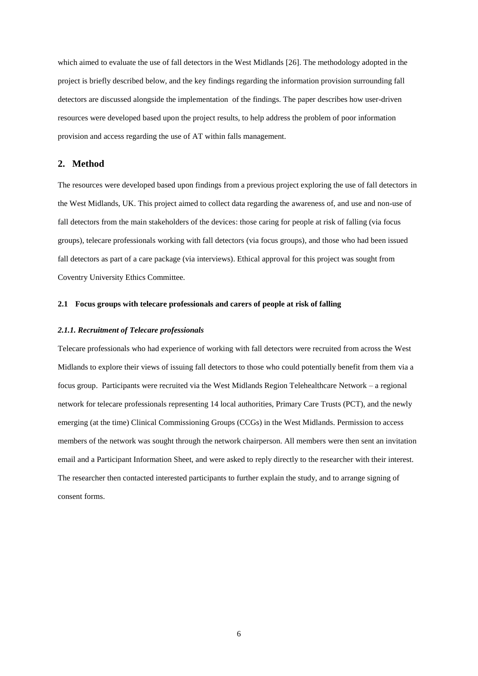which aimed to evaluate the use of fall detectors in the West Midlands [26]. The methodology adopted in the project is briefly described below, and the key findings regarding the information provision surrounding fall detectors are discussed alongside the implementation of the findings. The paper describes how user-driven resources were developed based upon the project results, to help address the problem of poor information provision and access regarding the use of AT within falls management.

### **2. Method**

The resources were developed based upon findings from a previous project exploring the use of fall detectors in the West Midlands, UK. This project aimed to collect data regarding the awareness of, and use and non-use of fall detectors from the main stakeholders of the devices: those caring for people at risk of falling (via focus groups), telecare professionals working with fall detectors (via focus groups), and those who had been issued fall detectors as part of a care package (via interviews). Ethical approval for this project was sought from Coventry University Ethics Committee.

#### **2.1 Focus groups with telecare professionals and carers of people at risk of falling**

#### *2.1.1. Recruitment of Telecare professionals*

Telecare professionals who had experience of working with fall detectors were recruited from across the West Midlands to explore their views of issuing fall detectors to those who could potentially benefit from them via a focus group. Participants were recruited via the West Midlands Region Telehealthcare Network – a regional network for telecare professionals representing 14 local authorities, Primary Care Trusts (PCT), and the newly emerging (at the time) Clinical Commissioning Groups (CCGs) in the West Midlands. Permission to access members of the network was sought through the network chairperson. All members were then sent an invitation email and a Participant Information Sheet, and were asked to reply directly to the researcher with their interest. The researcher then contacted interested participants to further explain the study, and to arrange signing of consent forms.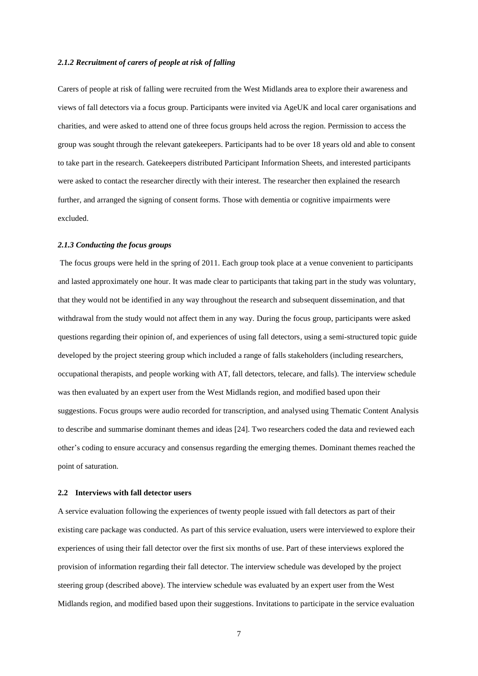#### *2.1.2 Recruitment of carers of people at risk of falling*

Carers of people at risk of falling were recruited from the West Midlands area to explore their awareness and views of fall detectors via a focus group. Participants were invited via AgeUK and local carer organisations and charities, and were asked to attend one of three focus groups held across the region. Permission to access the group was sought through the relevant gatekeepers. Participants had to be over 18 years old and able to consent to take part in the research. Gatekeepers distributed Participant Information Sheets, and interested participants were asked to contact the researcher directly with their interest. The researcher then explained the research further, and arranged the signing of consent forms. Those with dementia or cognitive impairments were excluded.

#### *2.1.3 Conducting the focus groups*

The focus groups were held in the spring of 2011. Each group took place at a venue convenient to participants and lasted approximately one hour. It was made clear to participants that taking part in the study was voluntary, that they would not be identified in any way throughout the research and subsequent dissemination, and that withdrawal from the study would not affect them in any way. During the focus group, participants were asked questions regarding their opinion of, and experiences of using fall detectors, using a semi-structured topic guide developed by the project steering group which included a range of falls stakeholders (including researchers, occupational therapists, and people working with AT, fall detectors, telecare, and falls). The interview schedule was then evaluated by an expert user from the West Midlands region, and modified based upon their suggestions. Focus groups were audio recorded for transcription, and analysed using Thematic Content Analysis to describe and summarise dominant themes and ideas [24]. Two researchers coded the data and reviewed each other's coding to ensure accuracy and consensus regarding the emerging themes. Dominant themes reached the point of saturation.

#### **2.2 Interviews with fall detector users**

A service evaluation following the experiences of twenty people issued with fall detectors as part of their existing care package was conducted. As part of this service evaluation, users were interviewed to explore their experiences of using their fall detector over the first six months of use. Part of these interviews explored the provision of information regarding their fall detector. The interview schedule was developed by the project steering group (described above). The interview schedule was evaluated by an expert user from the West Midlands region, and modified based upon their suggestions. Invitations to participate in the service evaluation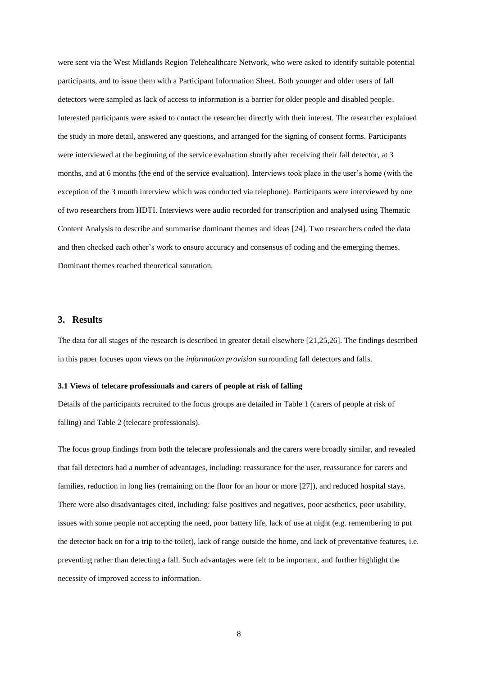were sent via the West Midlands Region Telehealthcare Network, who were asked to identify suitable potential participants, and to issue them with a Participant Information Sheet. Both younger and older users of fall detectors were sampled as lack of access to information is a barrier for older people and disabled people. Interested participants were asked to contact the researcher directly with their interest. The researcher explained the study in more detail, answered any questions, and arranged for the signing of consent forms. Participants were interviewed at the beginning of the service evaluation shortly after receiving their fall detector, at 3 months, and at 6 months (the end of the service evaluation). Interviews took place in the user's home (with the exception of the 3 month interview which was conducted via telephone). Participants were interviewed by one of two researchers from HDTI. Interviews were audio recorded for transcription and analysed using Thematic Content Analysis to describe and summarise dominant themes and ideas [24]. Two researchers coded the data and then checked each other's work to ensure accuracy and consensus of coding and the emerging themes. Dominant themes reached theoretical saturation.

# **3. Results**

The data for all stages of the research is described in greater detail elsewhere [21,25,26]. The findings described in this paper focuses upon views on the *information provision* surrounding fall detectors and falls.

#### **3.1 Views of telecare professionals and carers of people at risk of falling**

Details of the participants recruited to the focus groups are detailed in Table 1 (carers of people at risk of falling) and Table 2 (telecare professionals).

The focus group findings from both the telecare professionals and the carers were broadly similar, and revealed that fall detectors had a number of advantages, including: reassurance for the user, reassurance for carers and families, reduction in long lies (remaining on the floor for an hour or more [27]), and reduced hospital stays. There were also disadvantages cited, including: false positives and negatives, poor aesthetics, poor usability, issues with some people not accepting the need, poor battery life, lack of use at night (e.g. remembering to put the detector back on for a trip to the toilet), lack of range outside the home, and lack of preventative features, i.e. preventing rather than detecting a fall. Such advantages were felt to be important, and further highlight the necessity of improved access to information.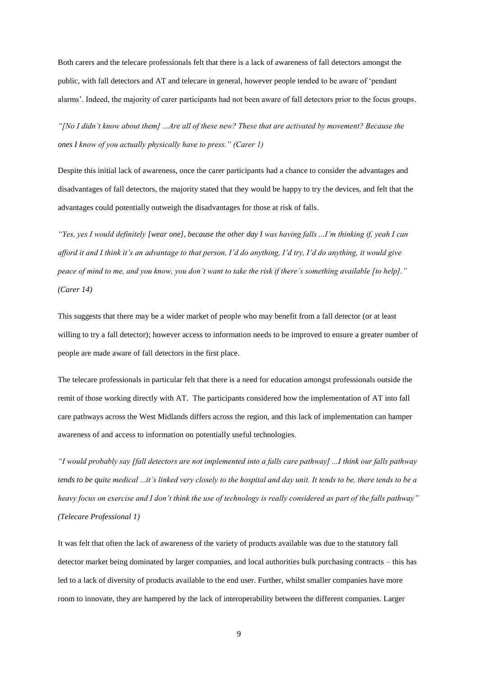Both carers and the telecare professionals felt that there is a lack of awareness of fall detectors amongst the public, with fall detectors and AT and telecare in general, however people tended to be aware of 'pendant alarms'. Indeed, the majority of carer participants had not been aware of fall detectors prior to the focus groups.

*"[No I didn't know about them] ...Are all of these new? These that are activated by movement? Because the ones I know of you actually physically have to press." (Carer 1)*

Despite this initial lack of awareness, once the carer participants had a chance to consider the advantages and disadvantages of fall detectors, the majority stated that they would be happy to try the devices, and felt that the advantages could potentially outweigh the disadvantages for those at risk of falls.

*"Yes, yes I would definitely [wear one], because the other day I was having falls ...I'm thinking if, yeah I can afford it and I think it's an advantage to that person, I'd do anything, I'd try, I'd do anything, it would give peace of mind to me, and you know, you don't want to take the risk if there's something available [to help]." (Carer 14)*

This suggests that there may be a wider market of people who may benefit from a fall detector (or at least willing to try a fall detector); however access to information needs to be improved to ensure a greater number of people are made aware of fall detectors in the first place.

The telecare professionals in particular felt that there is a need for education amongst professionals outside the remit of those working directly with AT. The participants considered how the implementation of AT into fall care pathways across the West Midlands differs across the region, and this lack of implementation can hamper awareness of and access to information on potentially useful technologies.

*"I would probably say [fall detectors are not implemented into a falls care pathway] ...I think our falls pathway tends to be quite medical ...it's linked very closely to the hospital and day unit. It tends to be, there tends to be a heavy focus on exercise and I don't think the use of technology is really considered as part of the falls pathway" (Telecare Professional 1)* 

It was felt that often the lack of awareness of the variety of products available was due to the statutory fall detector market being dominated by larger companies, and local authorities bulk purchasing contracts – this has led to a lack of diversity of products available to the end user. Further, whilst smaller companies have more room to innovate, they are hampered by the lack of interoperability between the different companies. Larger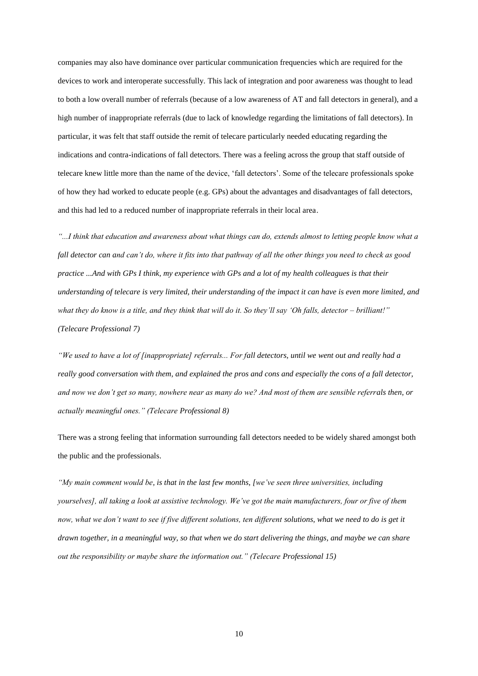companies may also have dominance over particular communication frequencies which are required for the devices to work and interoperate successfully. This lack of integration and poor awareness was thought to lead to both a low overall number of referrals (because of a low awareness of AT and fall detectors in general), and a high number of inappropriate referrals (due to lack of knowledge regarding the limitations of fall detectors). In particular, it was felt that staff outside the remit of telecare particularly needed educating regarding the indications and contra-indications of fall detectors. There was a feeling across the group that staff outside of telecare knew little more than the name of the device, 'fall detectors'. Some of the telecare professionals spoke of how they had worked to educate people (e.g. GPs) about the advantages and disadvantages of fall detectors, and this had led to a reduced number of inappropriate referrals in their local area.

*"...I think that education and awareness about what things can do, extends almost to letting people know what a fall detector can and can't do, where it fits into that pathway of all the other things you need to check as good practice ...And with GPs I think, my experience with GPs and a lot of my health colleagues is that their understanding of telecare is very limited, their understanding of the impact it can have is even more limited, and what they do know is a title, and they think that will do it. So they'll say 'Oh falls, detector – brilliant!" (Telecare Professional 7)*

*"We used to have a lot of [inappropriate] referrals... For fall detectors, until we went out and really had a really good conversation with them, and explained the pros and cons and especially the cons of a fall detector, and now we don't get so many, nowhere near as many do we? And most of them are sensible referrals then, or actually meaningful ones." (Telecare Professional 8)* 

There was a strong feeling that information surrounding fall detectors needed to be widely shared amongst both the public and the professionals.

*"My main comment would be, is that in the last few months, [we've seen three universities, including yourselves], all taking a look at assistive technology. We've got the main manufacturers, four or five of them now, what we don't want to see if five different solutions, ten different solutions, what we need to do is get it drawn together, in a meaningful way, so that when we do start delivering the things, and maybe we can share out the responsibility or maybe share the information out." (Telecare Professional 15)*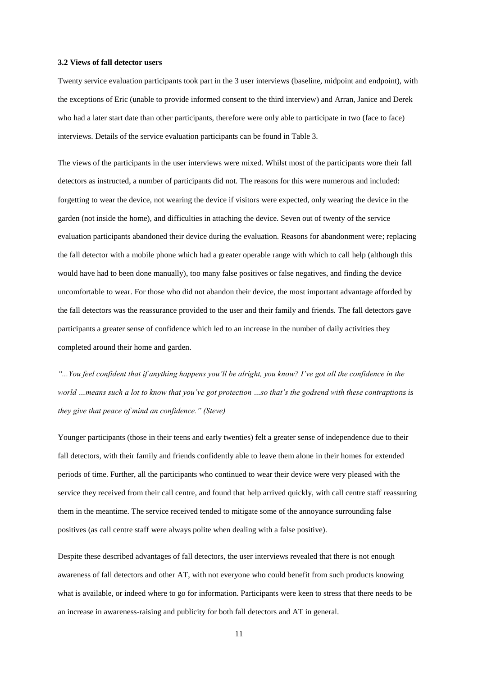#### **3.2 Views of fall detector users**

Twenty service evaluation participants took part in the 3 user interviews (baseline, midpoint and endpoint), with the exceptions of Eric (unable to provide informed consent to the third interview) and Arran, Janice and Derek who had a later start date than other participants, therefore were only able to participate in two (face to face) interviews. Details of the service evaluation participants can be found in Table 3.

The views of the participants in the user interviews were mixed. Whilst most of the participants wore their fall detectors as instructed, a number of participants did not. The reasons for this were numerous and included: forgetting to wear the device, not wearing the device if visitors were expected, only wearing the device in the garden (not inside the home), and difficulties in attaching the device. Seven out of twenty of the service evaluation participants abandoned their device during the evaluation. Reasons for abandonment were; replacing the fall detector with a mobile phone which had a greater operable range with which to call help (although this would have had to been done manually), too many false positives or false negatives, and finding the device uncomfortable to wear. For those who did not abandon their device, the most important advantage afforded by the fall detectors was the reassurance provided to the user and their family and friends. The fall detectors gave participants a greater sense of confidence which led to an increase in the number of daily activities they completed around their home and garden.

*"...You feel confident that if anything happens you'll be alright, you know? I've got all the confidence in the world …means such a lot to know that you've got protection …so that's the godsend with these contraptions is they give that peace of mind an confidence." (Steve)* 

Younger participants (those in their teens and early twenties) felt a greater sense of independence due to their fall detectors, with their family and friends confidently able to leave them alone in their homes for extended periods of time. Further, all the participants who continued to wear their device were very pleased with the service they received from their call centre, and found that help arrived quickly, with call centre staff reassuring them in the meantime. The service received tended to mitigate some of the annoyance surrounding false positives (as call centre staff were always polite when dealing with a false positive).

Despite these described advantages of fall detectors, the user interviews revealed that there is not enough awareness of fall detectors and other AT, with not everyone who could benefit from such products knowing what is available, or indeed where to go for information. Participants were keen to stress that there needs to be an increase in awareness-raising and publicity for both fall detectors and AT in general.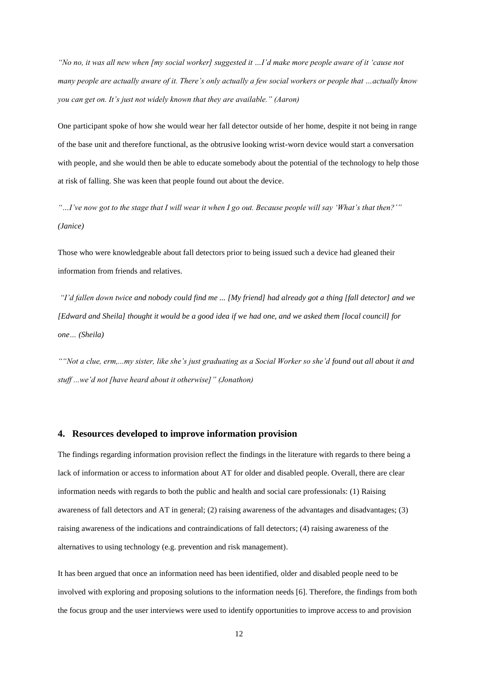*"No no, it was all new when [my social worker] suggested it …I'd make more people aware of it 'cause not many people are actually aware of it. There's only actually a few social workers or people that …actually know you can get on. It's just not widely known that they are available." (Aaron)*

One participant spoke of how she would wear her fall detector outside of her home, despite it not being in range of the base unit and therefore functional, as the obtrusive looking wrist-worn device would start a conversation with people, and she would then be able to educate somebody about the potential of the technology to help those at risk of falling. She was keen that people found out about the device.

*"…I've now got to the stage that I will wear it when I go out. Because people will say 'What's that then?'" (Janice)*

Those who were knowledgeable about fall detectors prior to being issued such a device had gleaned their information from friends and relatives.

*"I'd fallen down twice and nobody could find me ... [My friend] had already got a thing [fall detector] and we [Edward and Sheila] thought it would be a good idea if we had one, and we asked them [local council] for one… (Sheila)*

*""Not a clue, erm,...my sister, like she's just graduating as a Social Worker so she'd found out all about it and stuff ...we'd not [have heard about it otherwise]" (Jonathon)*

# **4. Resources developed to improve information provision**

The findings regarding information provision reflect the findings in the literature with regards to there being a lack of information or access to information about AT for older and disabled people. Overall, there are clear information needs with regards to both the public and health and social care professionals: (1) Raising awareness of fall detectors and AT in general; (2) raising awareness of the advantages and disadvantages; (3) raising awareness of the indications and contraindications of fall detectors; (4) raising awareness of the alternatives to using technology (e.g. prevention and risk management).

It has been argued that once an information need has been identified, older and disabled people need to be involved with exploring and proposing solutions to the information needs [6]. Therefore, the findings from both the focus group and the user interviews were used to identify opportunities to improve access to and provision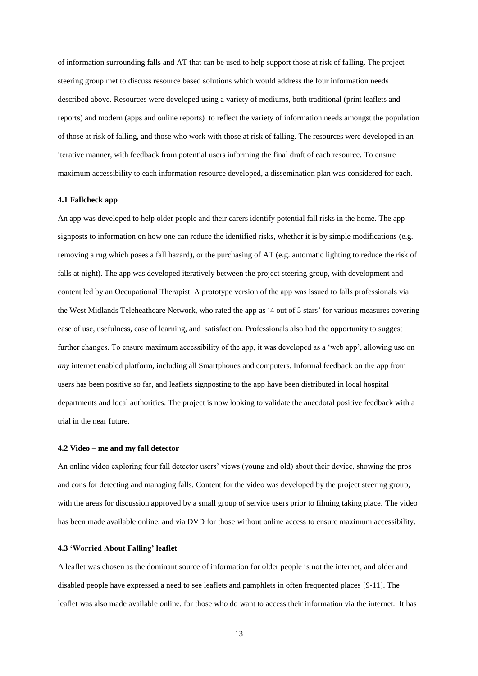of information surrounding falls and AT that can be used to help support those at risk of falling. The project steering group met to discuss resource based solutions which would address the four information needs described above. Resources were developed using a variety of mediums, both traditional (print leaflets and reports) and modern (apps and online reports) to reflect the variety of information needs amongst the population of those at risk of falling, and those who work with those at risk of falling. The resources were developed in an iterative manner, with feedback from potential users informing the final draft of each resource. To ensure maximum accessibility to each information resource developed, a dissemination plan was considered for each.

#### **4.1 Fallcheck app**

An app was developed to help older people and their carers identify potential fall risks in the home. The app signposts to information on how one can reduce the identified risks, whether it is by simple modifications (e.g. removing a rug which poses a fall hazard), or the purchasing of AT (e.g. automatic lighting to reduce the risk of falls at night). The app was developed iteratively between the project steering group, with development and content led by an Occupational Therapist. A prototype version of the app was issued to falls professionals via the West Midlands Teleheathcare Network, who rated the app as '4 out of 5 stars' for various measures covering ease of use, usefulness, ease of learning, and satisfaction. Professionals also had the opportunity to suggest further changes. To ensure maximum accessibility of the app, it was developed as a 'web app', allowing use on *any* internet enabled platform, including all Smartphones and computers. Informal feedback on the app from users has been positive so far, and leaflets signposting to the app have been distributed in local hospital departments and local authorities. The project is now looking to validate the anecdotal positive feedback with a trial in the near future.

#### **4.2 Video – me and my fall detector**

An online video exploring four fall detector users' views (young and old) about their device, showing the pros and cons for detecting and managing falls. Content for the video was developed by the project steering group, with the areas for discussion approved by a small group of service users prior to filming taking place. The video has been made available online, and via DVD for those without online access to ensure maximum accessibility.

#### **4.3 'Worried About Falling' leaflet**

A leaflet was chosen as the dominant source of information for older people is not the internet, and older and disabled people have expressed a need to see leaflets and pamphlets in often frequented places [9-11]. The leaflet was also made available online, for those who do want to access their information via the internet. It has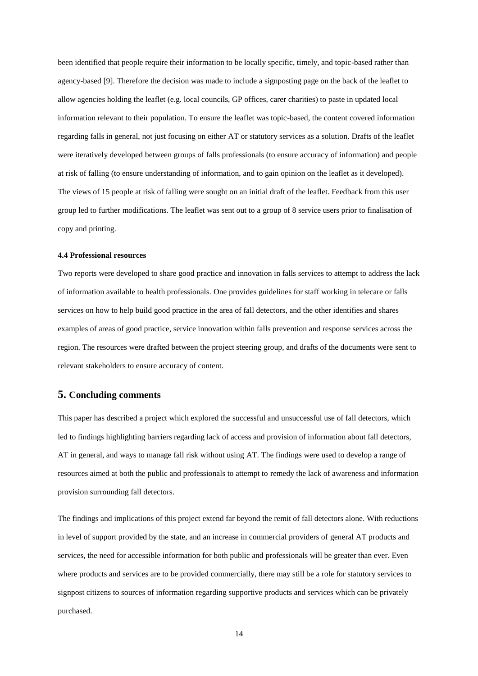been identified that people require their information to be locally specific, timely, and topic-based rather than agency-based [9]. Therefore the decision was made to include a signposting page on the back of the leaflet to allow agencies holding the leaflet (e.g. local councils, GP offices, carer charities) to paste in updated local information relevant to their population. To ensure the leaflet was topic-based, the content covered information regarding falls in general, not just focusing on either AT or statutory services as a solution. Drafts of the leaflet were iteratively developed between groups of falls professionals (to ensure accuracy of information) and people at risk of falling (to ensure understanding of information, and to gain opinion on the leaflet as it developed). The views of 15 people at risk of falling were sought on an initial draft of the leaflet. Feedback from this user group led to further modifications. The leaflet was sent out to a group of 8 service users prior to finalisation of copy and printing.

#### **4.4 Professional resources**

Two reports were developed to share good practice and innovation in falls services to attempt to address the lack of information available to health professionals. One provides guidelines for staff working in telecare or falls services on how to help build good practice in the area of fall detectors, and the other identifies and shares examples of areas of good practice, service innovation within falls prevention and response services across the region. The resources were drafted between the project steering group, and drafts of the documents were sent to relevant stakeholders to ensure accuracy of content.

# **5. Concluding comments**

This paper has described a project which explored the successful and unsuccessful use of fall detectors, which led to findings highlighting barriers regarding lack of access and provision of information about fall detectors, AT in general, and ways to manage fall risk without using AT. The findings were used to develop a range of resources aimed at both the public and professionals to attempt to remedy the lack of awareness and information provision surrounding fall detectors.

The findings and implications of this project extend far beyond the remit of fall detectors alone. With reductions in level of support provided by the state, and an increase in commercial providers of general AT products and services, the need for accessible information for both public and professionals will be greater than ever. Even where products and services are to be provided commercially, there may still be a role for statutory services to signpost citizens to sources of information regarding supportive products and services which can be privately purchased.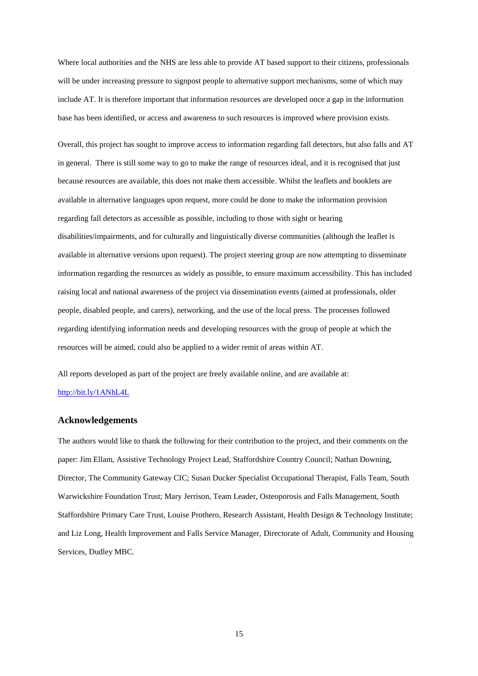Where local authorities and the NHS are less able to provide AT based support to their citizens, professionals will be under increasing pressure to signpost people to alternative support mechanisms, some of which may include AT. It is therefore important that information resources are developed once a gap in the information base has been identified, or access and awareness to such resources is improved where provision exists.

Overall, this project has sought to improve access to information regarding fall detectors, but also falls and AT in general. There is still some way to go to make the range of resources ideal, and it is recognised that just because resources are available, this does not make them accessible. Whilst the leaflets and booklets are available in alternative languages upon request, more could be done to make the information provision regarding fall detectors as accessible as possible, including to those with sight or hearing disabilities/impairments, and for culturally and linguistically diverse communities (although the leaflet is available in alternative versions upon request). The project steering group are now attempting to disseminate information regarding the resources as widely as possible, to ensure maximum accessibility. This has included raising local and national awareness of the project via dissemination events (aimed at professionals, older people, disabled people, and carers), networking, and the use of the local press. The processes followed regarding identifying information needs and developing resources with the group of people at which the resources will be aimed, could also be applied to a wider remit of areas within AT.

All reports developed as part of the project are freely available online, and are available at: <http://bit.ly/1ANhL4L>

## **Acknowledgements**

The authors would like to thank the following for their contribution to the project, and their comments on the paper: Jim Ellam, Assistive Technology Project Lead, Staffordshire Country Council; Nathan Downing, Director, The Community Gateway CIC; Susan Ducker Specialist Occupational Therapist, Falls Team, South Warwickshire Foundation Trust; Mary Jerrison, Team Leader, Osteoporosis and Falls Management, South Staffordshire Primary Care Trust, Louise Prothero, Research Assistant, Health Design & Technology Institute; and Liz Long, Health Improvement and Falls Service Manager, Directorate of Adult, Community and Housing Services, Dudley MBC.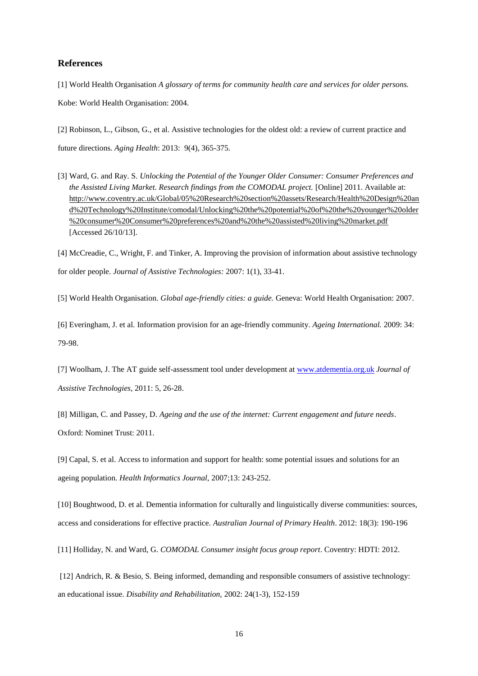# **References**

[1] World Health Organisation *A glossary of terms for community health care and services for older persons.*  Kobe: World Health Organisation: 2004.

[2] Robinson, L., Gibson, G., et al. Assistive technologies for the oldest old: a review of current practice and future directions. *Aging Health*: 2013: 9(4), 365-375.

[3] Ward, G. and Ray. S. *Unlocking the Potential of the Younger Older Consumer: Consumer Preferences and the Assisted Living Market. Research findings from the COMODAL project.* [Online] 2011. Available at: [http://www.coventry.ac.uk/Global/05%20Research%20section%20assets/Research/Health%20Design%20an](http://www.coventry.ac.uk/Global/05%20Research%20section%20assets/Research/Health%20Design%20and%20Technology%20Institute/comodal/Unlocking%20the%20potential%20of%20the%20younger%20older%20consumer%20Consumer%20preferences%20and%20the%20assisted%20living%20market.pdf) [d%20Technology%20Institute/comodal/Unlocking%20the%20potential%20of%20the%20younger%20older](http://www.coventry.ac.uk/Global/05%20Research%20section%20assets/Research/Health%20Design%20and%20Technology%20Institute/comodal/Unlocking%20the%20potential%20of%20the%20younger%20older%20consumer%20Consumer%20preferences%20and%20the%20assisted%20living%20market.pdf) [%20consumer%20Consumer%20preferences%20and%20the%20assisted%20living%20market.pdf](http://www.coventry.ac.uk/Global/05%20Research%20section%20assets/Research/Health%20Design%20and%20Technology%20Institute/comodal/Unlocking%20the%20potential%20of%20the%20younger%20older%20consumer%20Consumer%20preferences%20and%20the%20assisted%20living%20market.pdf) [Accessed 26/10/13].

[4] McCreadie, C., Wright, F. and Tinker, A. Improving the provision of information about assistive technology for older people. *Journal of Assistive Technologies:* 2007: 1(1), 33-41.

[5] World Health Organisation. *Global age-friendly cities: a guide.* Geneva: World Health Organisation: 2007.

[6] Everingham, J. et al. Information provision for an age-friendly community. *Ageing International.* 2009: 34: 79-98.

[7] Woolham, J. The AT guide self-assessment tool under development at [www.atdementia.org.uk](http://www.atdementia.org.uk/) *Journal of Assistive Technologies,* 2011: 5, 26-28.

[8] Milligan, C. and Passey, D. *Ageing and the use of the internet: Current engagement and future needs*. Oxford: Nominet Trust: 2011.

[9] Capal, S. et al. Access to information and support for health: some potential issues and solutions for an ageing population. *Health Informatics Journal,* 2007;13: 243-252.

[10] Boughtwood, D. et al. Dementia information for culturally and linguistically diverse communities: sources, access and considerations for effective practice. *Australian Journal of Primary Health*. 2012: 18(3): 190-196

[11] Holliday, N. and Ward, G. *COMODAL Consumer insight focus group report*. Coventry: HDTI: 2012.

[12] Andrich, R. & Besio, S. Being informed, demanding and responsible consumers of assistive technology: an educational issue. *Disability and Rehabilitation,* 2002: 24(1-3), 152-159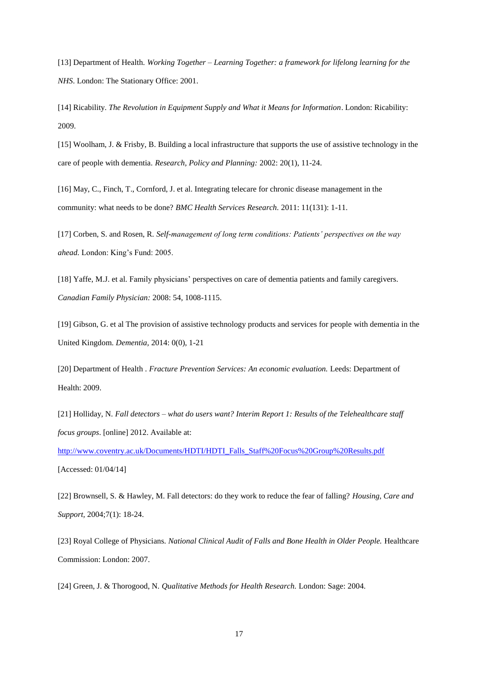[13] Department of Health. *Working Together – Learning Together: a framework for lifelong learning for the NHS*. London: The Stationary Office: 2001.

[14] Ricability. *The Revolution in Equipment Supply and What it Means for Information*. London: Ricability: 2009.

[15] Woolham, J. & Frisby, B. Building a local infrastructure that supports the use of assistive technology in the care of people with dementia. *Research, Policy and Planning:* 2002: 20(1), 11-24.

[16] May, C., Finch, T., Cornford, J. et al. Integrating telecare for chronic disease management in the community: what needs to be done? *BMC Health Services Research.* 2011: 11(131): 1-11.

[17] Corben, S. and Rosen, R. *Self-management of long term conditions: Patients' perspectives on the way ahead.* London: King's Fund: 2005.

[18] Yaffe, M.J. et al. Family physicians' perspectives on care of dementia patients and family caregivers. *Canadian Family Physician:* 2008: 54, 1008-1115.

[19] Gibson, G. et al The provision of assistive technology products and services for people with dementia in the United Kingdom. *Dementia,* 2014: 0(0), 1-21

[20] Department of Health . *Fracture Prevention Services: An economic evaluation.* Leeds: Department of Health: 2009.

[21] Holliday, N. *Fall detectors – what do users want? Interim Report 1: Results of the Telehealthcare staff focus groups*. [online] 2012. Available at:

[http://www.coventry.ac.uk/Documents/HDTI/HDTI\\_Falls\\_Staff%20Focus%20Group%20Results.pdf](http://www.coventry.ac.uk/Documents/HDTI/HDTI_Falls_Staff%20Focus%20Group%20Results.pdf) [Accessed: 01/04/14]

[22] Brownsell, S. & Hawley, M. Fall detectors: do they work to reduce the fear of falling? *Housing, Care and Support,* 2004;7(1): 18-24.

[23] Royal College of Physicians. *National Clinical Audit of Falls and Bone Health in Older People*. Healthcare Commission: London: 2007.

[24] Green, J. & Thorogood, N. *Qualitative Methods for Health Research.* London: Sage: 2004.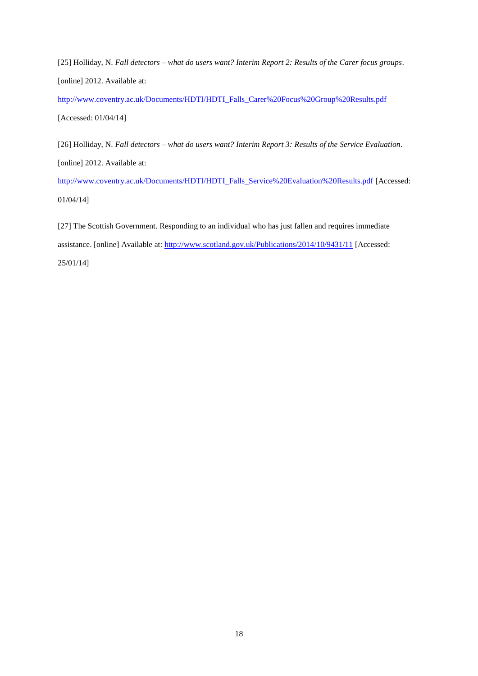[25] Holliday, N. *Fall detectors – what do users want? Interim Report 2: Results of the Carer focus groups*. [online] 2012. Available at:

[http://www.coventry.ac.uk/Documents/HDTI/HDTI\\_Falls\\_Carer%20Focus%20Group%20Results.pdf](http://www.coventry.ac.uk/Documents/HDTI/HDTI_Falls_Carer%20Focus%20Group%20Results.pdf) [Accessed: 01/04/14]

[26] Holliday, N. *Fall detectors – what do users want? Interim Report 3: Results of the Service Evaluation*.

[online] 2012. Available at:

[http://www.coventry.ac.uk/Documents/HDTI/HDTI\\_Falls\\_Service%20Evaluation%20Results.pdf](http://www.coventry.ac.uk/Documents/HDTI/HDTI_Falls_Service%20Evaluation%20Results.pdf) [Accessed: 01/04/14]

[27] The Scottish Government. Responding to an individual who has just fallen and requires immediate assistance. [online] Available at:<http://www.scotland.gov.uk/Publications/2014/10/9431/11> [Accessed: 25/01/14]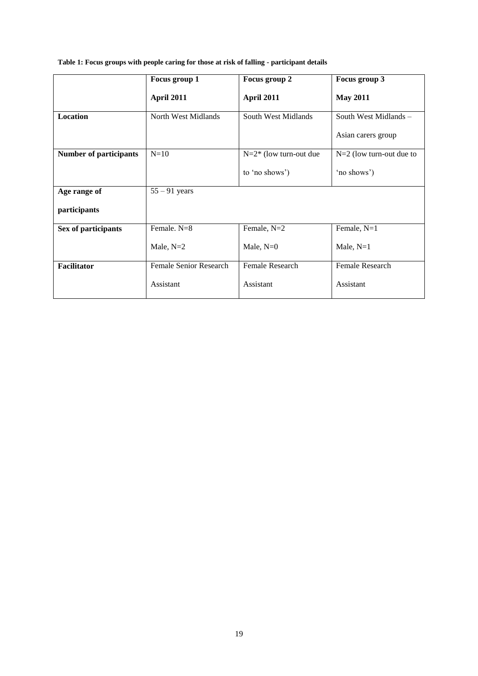# **Table 1: Focus groups with people caring for those at risk of falling - participant details**

|                               | Focus group 1          | Focus group 2             | Focus group 3              |  |
|-------------------------------|------------------------|---------------------------|----------------------------|--|
|                               | April 2011             | April 2011                | <b>May 2011</b>            |  |
| Location                      | North West Midlands    | South West Midlands       | South West Midlands -      |  |
|                               |                        |                           | Asian carers group         |  |
| <b>Number of participants</b> | $N=10$                 | $N=2^*$ (low turn-out due | $N=2$ (low turn-out due to |  |
|                               |                        | to 'no shows')            | 'no shows')                |  |
| Age range of                  | $55 - 91$ years        |                           |                            |  |
| participants                  |                        |                           |                            |  |
| Sex of participants           | Female. N=8            | Female, N=2               | Female, N=1                |  |
|                               | Male, $N=2$            | Male, $N=0$               | Male, $N=1$                |  |
| <b>Facilitator</b>            | Female Senior Research | Female Research           | Female Research            |  |
|                               | Assistant              | Assistant                 | Assistant                  |  |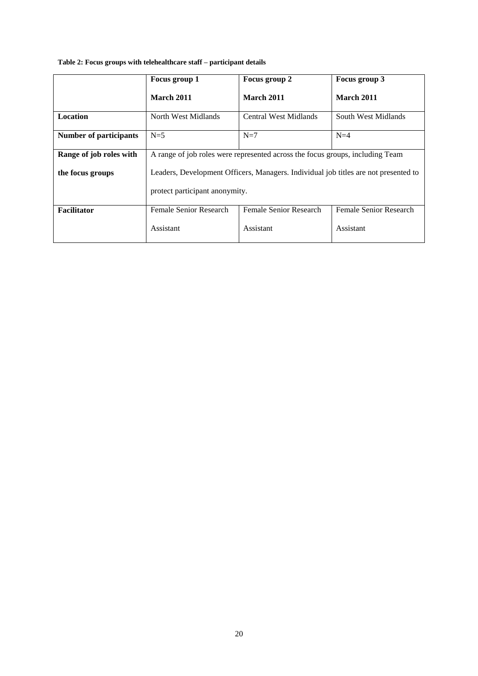# **Table 2: Focus groups with telehealthcare staff – participant details**

|                               | Focus group 1                                                                       | Focus group 2                | Focus group 3          |  |  |
|-------------------------------|-------------------------------------------------------------------------------------|------------------------------|------------------------|--|--|
|                               | March 2011                                                                          | <b>March 2011</b>            | March 2011             |  |  |
| <b>Location</b>               | North West Midlands                                                                 | <b>Central West Midlands</b> | South West Midlands    |  |  |
| <b>Number of participants</b> | $N=5$                                                                               | $N=7$                        | $N=4$                  |  |  |
| Range of job roles with       | A range of job roles were represented across the focus groups, including Team       |                              |                        |  |  |
| the focus groups              | Leaders, Development Officers, Managers. Individual job titles are not presented to |                              |                        |  |  |
|                               | protect participant anonymity.                                                      |                              |                        |  |  |
| Facilitator                   | Female Senior Research                                                              | Female Senior Research       | Female Senior Research |  |  |
|                               | Assistant                                                                           | Assistant                    | Assistant              |  |  |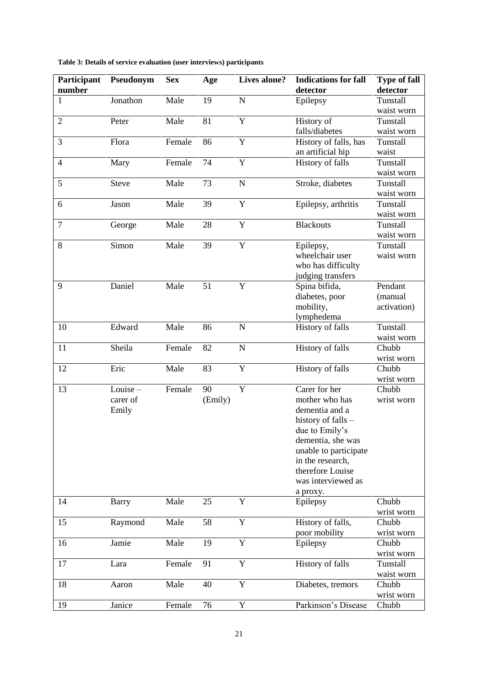| Participant<br>number | Pseudonym    | <b>Sex</b> | Age     | Lives alone?          | <b>Indications for fall</b><br>detector | <b>Type of fall</b><br>detector |
|-----------------------|--------------|------------|---------|-----------------------|-----------------------------------------|---------------------------------|
|                       | Jonathon     | Male       | 19      | $\overline{N}$        | Epilepsy                                | Tunstall                        |
|                       |              |            |         |                       |                                         | waist worn                      |
| $\overline{2}$        | Peter        | Male       | 81      | $\overline{\text{Y}}$ | History of                              | Tunstall                        |
|                       |              |            |         |                       | falls/diabetes                          | waist worn                      |
| 3                     | Flora        | Female     | 86      | $\overline{Y}$        | History of falls, has                   | Tunstall                        |
|                       |              |            |         |                       | an artificial hip                       | waist                           |
| $\overline{4}$        | Mary         | Female     | 74      | Y                     | History of falls                        | Tunstall                        |
|                       |              |            |         |                       |                                         | waist worn                      |
| 5                     | <b>Steve</b> | Male       | 73      | $\overline{N}$        | Stroke, diabetes                        | Tunstall                        |
|                       |              |            |         |                       |                                         | waist worn                      |
| 6                     | Jason        | Male       | 39      | $\overline{\text{Y}}$ | Epilepsy, arthritis                     | Tunstall                        |
|                       |              |            |         |                       |                                         | waist worn                      |
| $\overline{7}$        | George       | Male       | 28      | Y                     | <b>Blackouts</b>                        | Tunstall                        |
|                       |              |            |         |                       |                                         | waist worn                      |
| 8                     | Simon        | Male       | 39      | $\overline{\text{Y}}$ | Epilepsy,                               | Tunstall                        |
|                       |              |            |         |                       | wheelchair user                         | waist worn                      |
|                       |              |            |         |                       | who has difficulty                      |                                 |
|                       |              |            |         |                       | judging transfers                       |                                 |
| 9                     | Daniel       | Male       | 51      | Y                     | Spina bifida,                           | Pendant                         |
|                       |              |            |         |                       | diabetes, poor                          | (manual                         |
|                       |              |            |         |                       | mobility,                               | activation)                     |
|                       |              |            |         |                       | lymphedema                              |                                 |
| 10                    | Edward       | Male       | 86      | $\mathbf N$           | History of falls                        | Tunstall                        |
|                       |              |            |         |                       |                                         | waist worn                      |
| 11                    | Sheila       | Female     | 82      | $\overline{N}$        | History of falls                        | Chubb                           |
|                       |              |            |         |                       |                                         | wrist worn                      |
| 12                    | Eric         | Male       | 83      | Y                     | History of falls                        | Chubb                           |
|                       |              |            |         |                       |                                         | wrist worn                      |
| 13                    | Louise $-$   | Female     | 90      | $\overline{\text{Y}}$ | Carer for her                           | Chubb                           |
|                       | carer of     |            | (Emily) |                       | mother who has                          | wrist worn                      |
|                       | Emily        |            |         |                       | dementia and a                          |                                 |
|                       |              |            |         |                       | history of falls -                      |                                 |
|                       |              |            |         |                       | due to Emily's                          |                                 |
|                       |              |            |         |                       | dementia, she was                       |                                 |
|                       |              |            |         |                       | unable to participate                   |                                 |
|                       |              |            |         |                       | in the research,                        |                                 |
|                       |              |            |         |                       | therefore Louise                        |                                 |
|                       |              |            |         |                       | was interviewed as                      |                                 |
|                       |              |            |         |                       | a proxy.                                |                                 |
| 14                    | <b>Barry</b> | Male       | 25      | Y                     | Epilepsy                                | Chubb                           |
|                       |              |            |         |                       |                                         | wrist worn                      |
| 15                    | Raymond      | Male       | 58      | Y                     | History of falls,                       | Chubb                           |
|                       |              |            |         |                       | poor mobility                           | wrist worn                      |
| 16                    | Jamie        | Male       | 19      | Y                     | Epilepsy                                | Chubb                           |
|                       |              |            |         |                       |                                         | wrist worn                      |
| 17                    | Lara         | Female     | 91      | Y                     | History of falls                        | Tunstall                        |
|                       |              |            |         |                       |                                         | waist worn                      |
| 18                    | Aaron        | Male       | 40      | Y                     | Diabetes, tremors                       | Chubb                           |
|                       |              |            |         |                       |                                         | wrist worn                      |
| 19                    | Janice       | Female     | 76      | Y                     | Parkinson's Disease                     | Chubb                           |